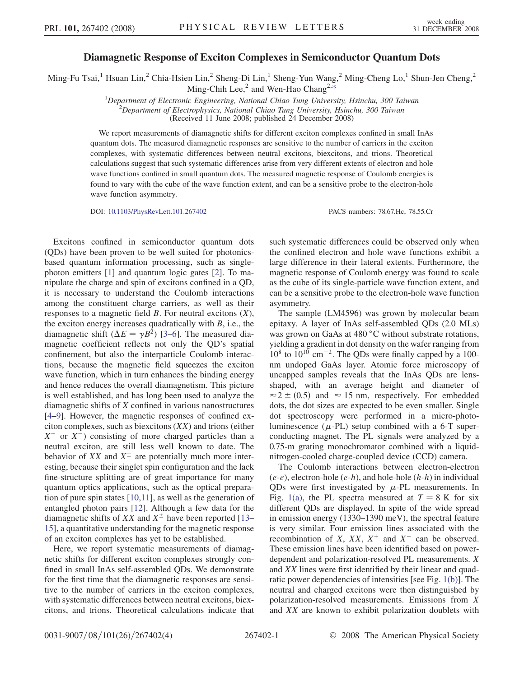## Diamagnetic Response of Exciton Complexes in Semiconductor Quantum Dots

<span id="page-0-0"></span>Ming-Fu Tsai,<sup>1</sup> Hsuan Lin,<sup>2</sup> Chia-Hsien Lin,<sup>2</sup> Sheng-Di Lin,<sup>1</sup> Sheng-Yun Wang,<sup>2</sup> Ming-Cheng Lo,<sup>1</sup> Shun-Jen Cheng,<sup>2</sup> Ming-Chih Lee,<sup>2</sup> and Wen-Hao Chang<sup>2,[\\*](#page-3-0)</sup>

> <sup>1</sup>Department of Electronic Engineering, National Chiao Tung University, Hsinchu, 300 Taiwan <sup>2</sup>Department of Electronhysics, National Chiao Tung University, Hsinchu, 300 Taiwan  $^2$ Department of Electrophysics, National Chiao Tung University, Hsinchu, 300 Taiwan

(Received 11 June 2008; published 24 December 2008)

We report measurements of diamagnetic shifts for different exciton complexes confined in small InAs quantum dots. The measured diamagnetic responses are sensitive to the number of carriers in the exciton complexes, with systematic differences between neutral excitons, biexcitons, and trions. Theoretical calculations suggest that such systematic differences arise from very different extents of electron and hole wave functions confined in small quantum dots. The measured magnetic response of Coulomb energies is found to vary with the cube of the wave function extent, and can be a sensitive probe to the electron-hole wave function asymmetry.

DOI: [10.1103/PhysRevLett.101.267402](http://dx.doi.org/10.1103/PhysRevLett.101.267402) PACS numbers: 78.67.Hc, 78.55.Cr

Excitons confined in semiconductor quantum dots (QDs) have been proven to be well suited for photonicsbased quantum information processing, such as singlephoton emitters [[1](#page-3-0)] and quantum logic gates [\[2](#page-3-0)]. To manipulate the charge and spin of excitons confined in a QD, it is necessary to understand the Coulomb interactions among the constituent charge carriers, as well as their responses to a magnetic field  $B$ . For neutral excitons  $(X)$ , the exciton energy increases quadratically with  $B$ , i.e., the diamagnetic shift ( $\Delta E = \gamma B^2$ ) [[3–6](#page-3-0)]. The measured diamagnetic coefficient reflects not only the QD's spatial confinement, but also the interparticle Coulomb interactions, because the magnetic field squeezes the exciton wave function, which in turn enhances the binding energy and hence reduces the overall diamagnetism. This picture is well established, and has long been used to analyze the diamagnetic shifts of X confined in various nanostructures [\[4–9](#page-3-0)]. However, the magnetic responses of confined exciton complexes, such as biexcitons  $(XX)$  and trions (either  $X^+$  or  $X^-$ ) consisting of more charged particles than a neutral exciton, are still less well known to date. The behavior of XX and  $X^{\pm}$  are potentially much more inter-<br>esting because their singlet spin configuration and the lack esting, because their singlet spin configuration and the lack fine-structure splitting are of great importance for many quantum optics applications, such as the optical preparation of pure spin states [[10](#page-3-0),[11](#page-3-0)], as well as the generation of entangled photon pairs [[12](#page-3-0)]. Although a few data for the diamagnetic shifts of XX and  $X^{\pm}$  have been reported [\[13–](#page-3-0)15] a quantitative understanding for the magnetic response [15](#page-3-0)], a quantitative understanding for the magnetic response of an exciton complexes has yet to be established.

Here, we report systematic measurements of diamagnetic shifts for different exciton complexes strongly confined in small InAs self-assembled QDs. We demonstrate for the first time that the diamagnetic responses are sensitive to the number of carriers in the exciton complexes, with systematic differences between neutral excitons, biexcitons, and trions. Theoretical calculations indicate that such systematic differences could be observed only when the confined electron and hole wave functions exhibit a large difference in their lateral extents. Furthermore, the magnetic response of Coulomb energy was found to scale as the cube of its single-particle wave function extent, and can be a sensitive probe to the electron-hole wave function asymmetry.

The sample (LM4596) was grown by molecular beam epitaxy. A layer of InAs self-assembled QDs (2.0 MLs) was grown on GaAs at 480 °C without substrate rotations, yielding a gradient in dot density on the wafer ranging from  $10^8$  to  $10^{10}$  cm<sup>-2</sup>. The QDs were finally capped by a 100nm undoped GaAs layer. Atomic force microscopy of uncapped samples reveals that the InAs QDs are lensshaped, with an average height and diameter of  $\approx$  2  $\pm$  (0.5) and  $\approx$  15 nm, respectively. For embedded dots the dot sizes are expected to be even smaller. Single dots, the dot sizes are expected to be even smaller. Single dot spectroscopy were performed in a micro-photoluminescence  $(\mu$ -PL) setup combined with a 6-T super-<br>conducting magnet. The PL signals were analyzed by a conducting magnet. The PL signals were analyzed by a 0.75-m grating monochromator combined with a liquidnitrogen-cooled charge-coupled device (CCD) camera.

The Coulomb interactions between electron-electron  $(e-e)$ , electron-hole  $(e-h)$ , and hole-hole  $(h-h)$  in individual QDs were first investigated by  $\mu$ -PL measurements. In<br>Fig. 1(a) the PL spectra measured at  $T = 8$  K for six Fig. [1\(a\)](#page-1-0), the PL spectra measured at  $T = 8$  K for six different QDs are displayed. In spite of the wide spread in emission energy (1330–1390 meV), the spectral feature is very similar. Four emission lines associated with the recombination of X,  $XX$ ,  $X^+$  and  $X^-$  can be observed. These emission lines have been identified based on powerdependent and polarization-resolved PL measurements. X and XX lines were first identified by their linear and quadratic power dependencies of intensities [see Fig. [1\(b\)](#page-1-0)]. The neutral and charged excitons were then distinguished by polarization-resolved measurements. Emissions from X and XX are known to exhibit polarization doublets with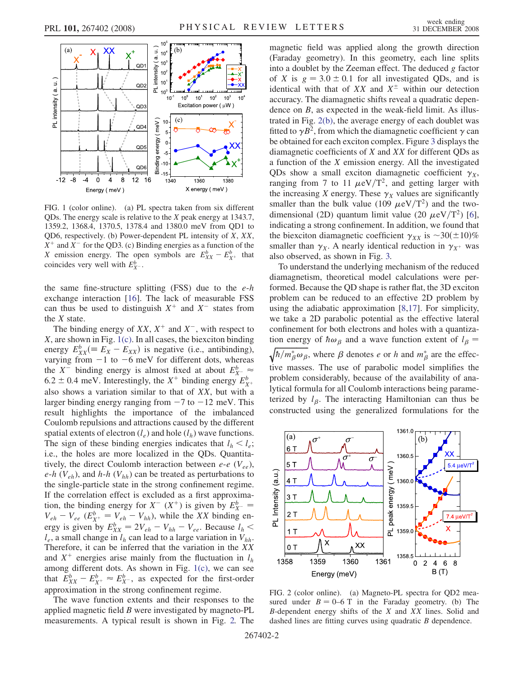<span id="page-1-0"></span>

FIG. 1 (color online). (a) PL spectra taken from six different QDs. The energy scale is relative to the X peak energy at 1343.7, 1359.2, 1368.4, 1370.5, 1378.4 and 1380.0 meV from QD1 to QD6, respectively. (b) Power-dependent PL intensity of X, XX,  $X^+$  and  $X^-$  for the QD3. (c) Binding energies as a function of the X emission energy. The open symbols are  $E_{XX}^b - E_{X^+}^b$  that coincides very well with  $F^b$ coincides very well with  $E_{X^-}^b$ .

the same fine-structure splitting (FSS) due to the  $e-h$ exchange interaction [\[16\]](#page-3-0). The lack of measurable FSS can thus be used to distinguish  $X^+$  and  $X^-$  states from the  $X$  state.

The binding energy of  $XX$ ,  $X^+$  and  $X^-$ , with respect to  $X$ , are shown in Fig. 1(c). In all cases, the biexciton binding energy  $E_{XX}^b (E_X - E_{XX})$  is negative (i.e., antibinding),<br>varying from  $-1$  to  $-6$  meV for different dots, whereas varying from  $-1$  to  $-6$  meV for different dots, whereas the X<sup>-</sup> binding energy is almost fixed at about  $E_{X^-}^b \approx$ <br>6.2 + 0.4 meV, Interestingly, the X<sup>+</sup> binding energy  $F_b^b$ . 6.2  $\pm$  0.4 meV. Interestingly, the X<sup>+</sup> binding energy  $E_X^b$ <br>also shows a variation similar to that of XX but with  $\overline{\text{SLE}} = \text{SATE}$  is a variation similar to that of XX, but with a<br>larger binding energy ranging from  $-7$  to  $-12$  meV. This larger binding energy ranging from  $-7$  to  $-12$  meV. This result highlights the importance of the imbalanced Coulomb repulsions and attractions caused by the different spatial extents of electron  $(l_e)$  and hole  $(l_h)$  wave functions. The sign of these binding energies indicates that  $l_h < l_e$ ; i.e., the holes are more localized in the QDs. Quantitatively, the direct Coulomb interaction between  $e$ - $e$  ( $V_{ee}$ ),  $e-h$  ( $V_{eh}$ ), and  $h-h$  ( $V_{hh}$ ) can be treated as perturbations to the single-particle state in the strong confinement regime. If the correlation effect is excluded as a first approximation, the binding energy for  $X^{-}(X^{+})$  is given by  $E_{X^{-}}^{b}$  $\frac{y}{x}$  =  $V_{eh} - V_{ee} (E_{X^+}^b = V_{eh} - V_{hh})$ , while the XX binding en-<br>ergy is given by  $F^b = 2V_{ee} - V_{ee} - V_{ee}$ . Because  $L \le$ ergy is given by  $E_{XX}^b = 2V_{eh} - V_{hh} - V_{ee}$ . Because  $l_h < l$  a small change in L can lead to a large variation in  $V_{ee}$ .  $l_e$ , a small change in  $l_h$  can lead to a large variation in  $V_{hh}$ .<br>Therefore, it can be inferred that the variation in the XX Therefore, it can be inferred that the variation in the XX and  $X^+$  energies arise mainly from the fluctuation in  $l<sub>h</sub>$ among different dots. As shown in Fig. 1(c), we can see that  $E_{XX}^b - E_{X^+}^b \approx E_{X^-}^b$ , as expected for the first-order<br>approximation in the strong confinement regime approximation in the strong confinement regime.

The wave function extents and their responses to the applied magnetic field B were investigated by magneto-PL measurements. A typical result is shown in Fig. 2. The magnetic field was applied along the growth direction (Faraday geometry). In this geometry, each line splits into a doublet by the Zeeman effect. The deduced  $g$  factor of X is  $g = 3.0 \pm 0.1$  for all investigated QDs, and is<br>identical with that of XX and  $X^{\pm}$  within our detection identical with that of XX and  $X^{\pm}$  within our detection<br>accuracy. The diamagnetic shifts reveal a quadratic depenaccuracy. The diamagnetic shifts reveal a quadratic dependence on B, as expected in the weak-field limit. As illustrated in Fig. 2(b), the average energy of each doublet was fitted to  $\gamma B^2$ , from which the diamagnetic coefficient  $\gamma$  can be obtained for each exciton complex. Figure [3](#page-2-0) displays the diamagnetic coefficients of X and XX for different QDs as a function of the X emission energy. All the investigated QDs show a small exciton diamagnetic coefficient  $\gamma_X$ , ranging from 7 to 11  $\mu$ eV/T<sup>2</sup>, and getting larger with the increasing X energy These  $\chi$ . values are significantly the increasing X energy. These  $\gamma_X$  values are significantly smaller than the bulk value (109  $\mu$ eV/T<sup>2</sup>) and the two-<br>dimensional (2D) quantum limit value (20  $\mu$ eV/T<sup>2</sup>) [6] dimensional (2D) quantum limit value (20  $\mu$ eV/T<sup>2</sup>) [[6\]](#page-3-0),<br>indicating a strong confinement. In addition, we found that indicating a strong confinement. In addition, we found that the biexciton diamagnetic coefficient  $\gamma_{XX}$  is  $\sim 30(\pm 10)\%$ <br>smaller than  $\gamma_{XX}$ . A nearly identical reduction in  $\gamma_{XX}$  was smaller than  $\gamma_X$ . A nearly identical reduction in  $\gamma_{X^+}$  was also observed, as shown in Fig. [3.](#page-2-0)

To understand the underlying mechanism of the reduced diamagnetism, theoretical model calculations were performed. Because the QD shape is rather flat, the 3D exciton problem can be reduced to an effective 2D problem by using the adiabatic approximation [\[8,17\]](#page-3-0). For simplicity, we take a 2D parabolic potential as the effective lateral confinement for both electrons and holes with a quantization energy of  $\hbar \omega_\beta$  and a wave function extent of  $l_\beta = \sqrt{\hbar/m_{\phi}^* \omega_\beta}$ , where  $\beta$  denotes e or h and  $m_{\phi}^*$  are the effec- $\sqrt{\frac{\hbar}{m_\beta^2 \omega_\beta}}$ , where  $\beta$  denotes e or h and  $m_\beta^*$  are the effec- $\mathbf{v}^{(1)}$  masses. The use of parabolic model simplifies the problem considerably, because of the availability of analytical formula for all Coulomb interactions being parameterized by  $l_{\beta}$ . The interacting Hamiltonian can thus be constructed using the generalized formulations for the



FIG. 2 (color online). (a) Magneto-PL spectra for QD2 measured under  $B = 0-6$  T in the Faraday geometry. (b) The  $B$ -dependent energy shifts of the  $X$  and  $XX$  lines. Solid and dashed lines are fitting curves using quadratic *B* dependence.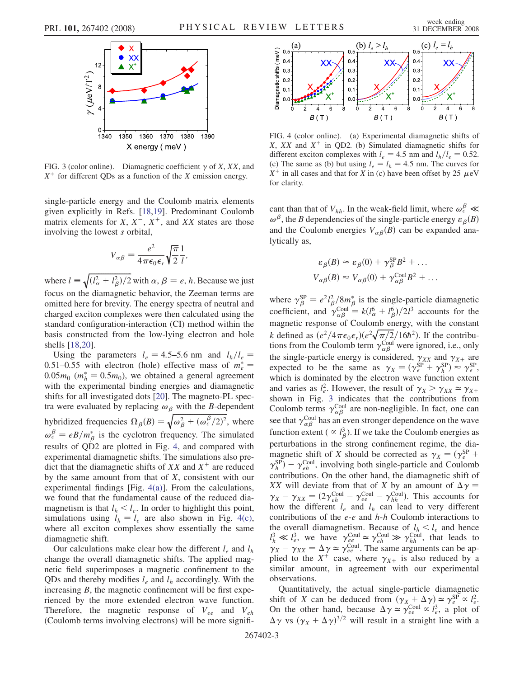<span id="page-2-0"></span>

FIG. 3 (color online). Diamagnetic coefficient  $\gamma$  of X, XX, and  $X^+$  for different QDs as a function of the X emission energy.

single-particle energy and the Coulomb matrix elements given explicitly in Refs. [[18](#page-3-0),[19](#page-3-0)]. Predominant Coulomb matrix elements for  $X, X^-, X^+$ , and XX states are those involving the lowest s orbital,

$$
V_{\alpha\beta} = \frac{e^2}{4\pi\epsilon_0\epsilon_r} \sqrt{\frac{\pi}{2}} \frac{1}{l},
$$

where  $l = \sqrt{\frac{l_a^2 + l_\beta^2}{2}}$  with  $\alpha, \beta = e, h$ . Because we just focus on the diamagnetic behavior, the Zeeman terms are omitted here for brevity. The energy spectra of neutral and charged exciton complexes were then calculated using the standard configuration-interaction (CI) method within the basis constructed from the low-lying electron and hole shells [\[18,20\]](#page-3-0).

Using the parameters  $l_e = 4.5-5.6$  nm and  $l_h/l_e =$ 0.51–0.55 with electron (hole) effective mass of  $m_e^* = 0.05m_e (m_e^* = 0.5m_e)$  we obtained a general agreement  $0.05m_0$  ( $m_h^* = 0.5m_0$ ), we obtained a general agreement<br>with the experimental binding energies and diamagnetic with the experimental binding energies and diamagnetic shifts for all investigated dots [\[20\]](#page-3-0). The magneto-PL spectra were evaluated by replacing  $\omega_{\beta}$  with the B-dependent hybridized frequencies  $\Omega_{\beta}(B) = \sqrt{\omega_{\beta}^2 + (\omega_{c}^{\beta}/2)^2}$ , where  $\omega_c^P = eB/m_\beta^*$  is the cyclotron frequency. The simulated<br>results of OD2 are plotted in Fig. 4, and compared with results of QD2 are plotted in Fig. 4, and compared with experimental diamagnetic shifts. The simulations also predict that the diamagnetic shifts of  $XX$  and  $X^+$  are reduced by the same amount from that of  $X$ , consistent with our experimental findings [Fig. 4(a)]. From the calculations, we found that the fundamental cause of the reduced diamagnetism is that  $l_h < l_e$ . In order to highlight this point, simulations using  $l_h = l_e$  are also shown in Fig. 4(c), where all exciton complexes show essentially the same diamagnetic shift.

Our calculations make clear how the different  $l_e$  and  $l_h$ change the overall diamagnetic shifts. The applied magnetic field superimposes a magnetic confinement to the QDs and thereby modifies  $l_e$  and  $l_h$  accordingly. With the increasing  $B$ , the magnetic confinement will be first experienced by the more extended electron wave function. Therefore, the magnetic response of  $V_{ee}$  and  $V_{eh}$ (Coulomb terms involving electrons) will be more signifi-



FIG. 4 (color online). (a) Experimental diamagnetic shifts of  $X$ ,  $XX$  and  $X^+$  in QD2. (b) Simulated diamagnetic shifts for different exciton complexes with  $l_e = 4.5$  nm and  $l_h/l_e = 0.52$ . (c) The same as (b) but using  $l_e = l_h = 4.5$  nm. The curves for  $X^+$  in all cases and that for X in (c) have been offset by 25  $\mu$ eV for clarity for clarity.

cant than that of  $V_{hh}$ . In the weak-field limit, where  $\omega_c^P \ll \omega_b^P$  the *R* dependencies of the single-particle energy  $\varepsilon_o(R)$  $\omega^{\beta}$ , the B dependencies of the single-particle energy  $\varepsilon_{\beta}(B)$ and the Coulomb energies  $V_{\alpha\beta}(B)$  can be expanded analytically as,

$$
\varepsilon_{\beta}(B) \approx \varepsilon_{\beta}(0) + \gamma_{\beta}^{\rm SP} B^2 + \dots
$$
  

$$
V_{\alpha\beta}(B) \approx V_{\alpha\beta}(0) + \gamma_{\alpha\beta}^{\rm Coul} B^2 + \dots
$$

where  $\gamma_{\beta}^{\rm SP} = e^2 l_{\beta}^2 / 8 m_{\beta}^*$  is the single-particle diamagnetic approximation of  $\epsilon_{\rm CO}^{\rm COII} = \frac{L}{\sqrt{6}} \frac{(6L - 15)}{(23.8 \text{ seconds})^2}$  accounts for the coefficient, and  $\gamma_{\alpha\beta}^{\text{Coul}} = k(l_{\alpha}^{6} + l_{\beta}^{6})/2l^{3}$  accounts for the magnetic response of Coulomb energy, with the constant k defined as  $(e^2/4\pi\epsilon_0 \epsilon_r)(e^2\sqrt{\pi/2}/16\hbar^2)$ . If the contribu-<br>tions from the Coulomb term  $x^{\text{Coul}}$  were ignored i.e. only tions from the Coulomb term  $\gamma_{\alpha\beta}^{\text{Coul}}$  were ignored, i.e., only the single partials aparaw is considered,  $\gamma_{\alpha\beta}$  and  $\gamma_{\alpha\beta}$ the single-particle energy is considered,  $\gamma_{XX}$  and  $\gamma_{X+}$  are<br>expected to be the same as  $\gamma_{X} = (\gamma^{SP} + \gamma^{SP}) \approx \gamma^{SP}$ expected to be the same as  $\gamma_X = (\gamma_{e}^{\text{SP}} + \gamma_{h}^{\text{SP}}) \approx \gamma_{e}^{\text{SP}}$ , which is dominated by the electron wave function extent and varies as  $l_e^2$ . However, the result of  $\gamma_X > \gamma_{XX} \simeq \gamma_{X+}$ <br>shown in Fig. 3 indicates that the contributions from shown in Fig. 3 indicates that the contributions from Coulomb terms  $\gamma_{\alpha\beta}^{\text{Coul}}$  are non-negligible. In fact, one can<br>see that  $\alpha_{\beta}^{\text{Coul}}$  has an aven stranger dapandance on the wave see that  $\gamma_{\alpha\beta}^{\text{Coul}}$  has an even stronger dependence on the wave function extent  $(\propto l_B^3)$ . If we take the Coulomb energies as perturbations in the strong confinement regime, the diamagnetic shift of X should be corrected as  $\gamma_X = (\gamma_e^{\text{SP}} +$  $\frac{e}{e}$  +  $\gamma_h^{\rm SP}$ ) –  $\gamma_{eh}^{\rm Coul}$ , involving both single-particle and Coulomb contributions. On the other hand, the diamagnetic shift of contributions. On the other hand, the diamagnetic shift of XX will deviate from that of X by an amount of  $\Delta \gamma =$  $\gamma_X - \gamma_{XX} = (2\gamma_{eh}^{\text{Coul}} - \gamma_{eh}^{\text{Coul}} - \gamma_{hh}^{\text{Coul}})$ . This accounts for how the different  $l_e$  and  $l_h$  can lead to very different contributions of the  $e$ - $e$  and  $h$ - $h$  Coulomb interactions to the overall diamagnetism. Because of  $l_h < l_e$  and hence  $l^3 \ll l^3$  we have  $\gamma^{\text{Coul}} \approx \gamma^{\text{Coul}} \gg \gamma^{\text{Coul}}$  that leads to l  $\gamma_h^3 \ll l_e^3$ , we have  $\gamma_{e}^{\text{Coul}} \approx \gamma_{eh}^{\text{Coul}} \gg \gamma_{hh}^{\text{Coul}}$ , that leads to  $\gamma_{ee} = \gamma_{ee} = \Delta \gamma \approx \gamma_{e}^{\text{Coul}}$ . The same arguments can be an- $\gamma_X - \gamma_{XX} = \Delta \gamma \simeq \gamma_{ee}^{\text{Coul}}$ . The same arguments can be applied to the  $X^+$  case, where  $\gamma_{X}$  is also reduced by a plied to the  $X^+$  case, where  $\gamma_{X^+}$  is also reduced by a similar amount, in agreement with our experimental observations.

Quantitatively, the actual single-particle diamagnetic shift of X can be deduced from  $(\gamma_X + \Delta \gamma) \approx \gamma_e^{\text{SP}} \propto l_e^2$ .<br>On the other hand, because  $\Delta \gamma \approx \gamma_{\text{Coul}} \propto l^3$  a plot of shift of X can be deduced from  $(\gamma_X + \Delta \gamma) \approx \gamma_e^{\alpha} \propto l_e^2$ .<br>On the other hand, because  $\Delta \gamma \approx \gamma_{ee}^{\text{Coul}} \propto l_e^3$ , a plot of  $\Delta \gamma$  vs  $(\gamma_X + \Delta \gamma)^{3/2}$  will result in a straight line with a